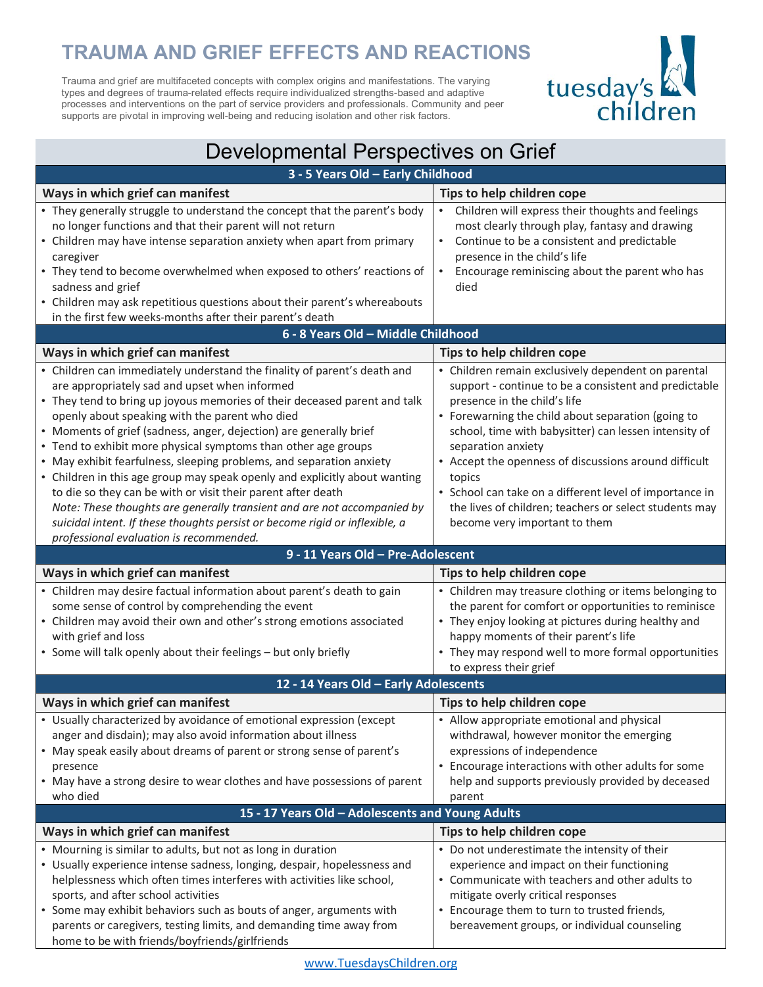## **TRAUMA AND GRIEF EFFECTS AND REACTIONS**

Trauma and grief are multifaceted concepts with complex origins and manifestations. The varying types and degrees of trauma-related effects require individualized strengths-based and adaptive processes and interventions on the part of service providers and professionals. Community and peer supports are pivotal in improving well-being and reducing isolation and other risk factors.



| Developmental Perspectives on Grief                                                                                                                                                                                                                                                                                                                                                                                                                                                                                                                                                                                                                                                                                                                                                                                         |                                                                                                                                                                                                                                                                                                                                                                                                                                                                                                            |  |  |  |
|-----------------------------------------------------------------------------------------------------------------------------------------------------------------------------------------------------------------------------------------------------------------------------------------------------------------------------------------------------------------------------------------------------------------------------------------------------------------------------------------------------------------------------------------------------------------------------------------------------------------------------------------------------------------------------------------------------------------------------------------------------------------------------------------------------------------------------|------------------------------------------------------------------------------------------------------------------------------------------------------------------------------------------------------------------------------------------------------------------------------------------------------------------------------------------------------------------------------------------------------------------------------------------------------------------------------------------------------------|--|--|--|
| 3 - 5 Years Old - Early Childhood                                                                                                                                                                                                                                                                                                                                                                                                                                                                                                                                                                                                                                                                                                                                                                                           |                                                                                                                                                                                                                                                                                                                                                                                                                                                                                                            |  |  |  |
| Ways in which grief can manifest                                                                                                                                                                                                                                                                                                                                                                                                                                                                                                                                                                                                                                                                                                                                                                                            | Tips to help children cope                                                                                                                                                                                                                                                                                                                                                                                                                                                                                 |  |  |  |
| • They generally struggle to understand the concept that the parent's body<br>no longer functions and that their parent will not return<br>• Children may have intense separation anxiety when apart from primary<br>caregiver<br>• They tend to become overwhelmed when exposed to others' reactions of<br>sadness and grief<br>• Children may ask repetitious questions about their parent's whereabouts<br>in the first few weeks-months after their parent's death                                                                                                                                                                                                                                                                                                                                                      | Children will express their thoughts and feelings<br>most clearly through play, fantasy and drawing<br>Continue to be a consistent and predictable<br>presence in the child's life<br>Encourage reminiscing about the parent who has<br>died                                                                                                                                                                                                                                                               |  |  |  |
| 6 - 8 Years Old - Middle Childhood                                                                                                                                                                                                                                                                                                                                                                                                                                                                                                                                                                                                                                                                                                                                                                                          |                                                                                                                                                                                                                                                                                                                                                                                                                                                                                                            |  |  |  |
| Ways in which grief can manifest                                                                                                                                                                                                                                                                                                                                                                                                                                                                                                                                                                                                                                                                                                                                                                                            | Tips to help children cope                                                                                                                                                                                                                                                                                                                                                                                                                                                                                 |  |  |  |
| • Children can immediately understand the finality of parent's death and<br>are appropriately sad and upset when informed<br>• They tend to bring up joyous memories of their deceased parent and talk<br>openly about speaking with the parent who died<br>• Moments of grief (sadness, anger, dejection) are generally brief<br>• Tend to exhibit more physical symptoms than other age groups<br>• May exhibit fearfulness, sleeping problems, and separation anxiety<br>• Children in this age group may speak openly and explicitly about wanting<br>to die so they can be with or visit their parent after death<br>Note: These thoughts are generally transient and are not accompanied by<br>suicidal intent. If these thoughts persist or become rigid or inflexible, a<br>professional evaluation is recommended. | • Children remain exclusively dependent on parental<br>support - continue to be a consistent and predictable<br>presence in the child's life<br>• Forewarning the child about separation (going to<br>school, time with babysitter) can lessen intensity of<br>separation anxiety<br>• Accept the openness of discussions around difficult<br>topics<br>• School can take on a different level of importance in<br>the lives of children; teachers or select students may<br>become very important to them |  |  |  |
| 9 - 11 Years Old - Pre-Adolescent                                                                                                                                                                                                                                                                                                                                                                                                                                                                                                                                                                                                                                                                                                                                                                                           |                                                                                                                                                                                                                                                                                                                                                                                                                                                                                                            |  |  |  |
| Ways in which grief can manifest                                                                                                                                                                                                                                                                                                                                                                                                                                                                                                                                                                                                                                                                                                                                                                                            | Tips to help children cope                                                                                                                                                                                                                                                                                                                                                                                                                                                                                 |  |  |  |
| • Children may desire factual information about parent's death to gain<br>some sense of control by comprehending the event<br>• Children may avoid their own and other's strong emotions associated<br>with grief and loss<br>• Some will talk openly about their feelings - but only briefly                                                                                                                                                                                                                                                                                                                                                                                                                                                                                                                               | • Children may treasure clothing or items belonging to<br>the parent for comfort or opportunities to reminisce<br>• They enjoy looking at pictures during healthy and<br>happy moments of their parent's life                                                                                                                                                                                                                                                                                              |  |  |  |
|                                                                                                                                                                                                                                                                                                                                                                                                                                                                                                                                                                                                                                                                                                                                                                                                                             | • They may respond well to more formal opportunities                                                                                                                                                                                                                                                                                                                                                                                                                                                       |  |  |  |
| 12 - 14 Years Old - Early Adolescents                                                                                                                                                                                                                                                                                                                                                                                                                                                                                                                                                                                                                                                                                                                                                                                       | to express their grief                                                                                                                                                                                                                                                                                                                                                                                                                                                                                     |  |  |  |
| Ways in which grief can manifest                                                                                                                                                                                                                                                                                                                                                                                                                                                                                                                                                                                                                                                                                                                                                                                            | Tips to help children cope                                                                                                                                                                                                                                                                                                                                                                                                                                                                                 |  |  |  |
| • Usually characterized by avoidance of emotional expression (except<br>anger and disdain); may also avoid information about illness<br>• May speak easily about dreams of parent or strong sense of parent's<br>presence<br>• May have a strong desire to wear clothes and have possessions of parent<br>who died                                                                                                                                                                                                                                                                                                                                                                                                                                                                                                          | • Allow appropriate emotional and physical<br>withdrawal, however monitor the emerging<br>expressions of independence<br>• Encourage interactions with other adults for some<br>help and supports previously provided by deceased<br>parent                                                                                                                                                                                                                                                                |  |  |  |
| 15 - 17 Years Old - Adolescents and Young Adults                                                                                                                                                                                                                                                                                                                                                                                                                                                                                                                                                                                                                                                                                                                                                                            |                                                                                                                                                                                                                                                                                                                                                                                                                                                                                                            |  |  |  |
| Ways in which grief can manifest                                                                                                                                                                                                                                                                                                                                                                                                                                                                                                                                                                                                                                                                                                                                                                                            | Tips to help children cope                                                                                                                                                                                                                                                                                                                                                                                                                                                                                 |  |  |  |
| • Mourning is similar to adults, but not as long in duration<br>• Usually experience intense sadness, longing, despair, hopelessness and<br>helplessness which often times interferes with activities like school,<br>sports, and after school activities<br>• Some may exhibit behaviors such as bouts of anger, arguments with<br>parents or caregivers, testing limits, and demanding time away from                                                                                                                                                                                                                                                                                                                                                                                                                     | • Do not underestimate the intensity of their<br>experience and impact on their functioning<br>• Communicate with teachers and other adults to<br>mitigate overly critical responses<br>• Encourage them to turn to trusted friends,<br>bereavement groups, or individual counseling                                                                                                                                                                                                                       |  |  |  |